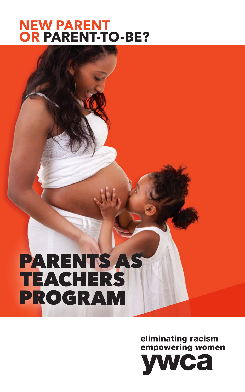## **NEW PARENT OR PARENT-TO-BE?**

# PARENTS AS **TEACHERS** PROGRAM

eliminating racism empowering women

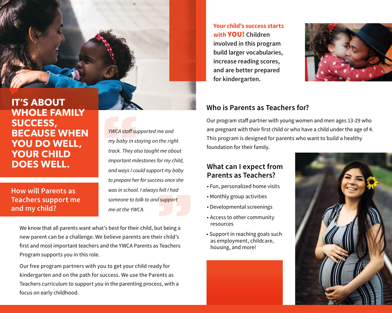**IT'S ABOUT WHOLE FAMILY SUCCESS, BECAUSE WHEN YOU DO WELL, YOUR CHILD DOES WELL.**

**How will Parents as Teachers support me** and my child?

**YWCA** staff supported me and my baby in staying on the right track. They also taught me about important milestones for my child, and ways I could support my baby to prepare her for success once she was in school. I always felt I had someone to talk to and support me at the YWCA.

We know that all parents want what's best for their child, but being a new parent can be a challenge. We believe parents are their child's first and most important teachers and the YWCA Parents as Teachers Program supports you in this role.

Our free program partners with you to get your child ready for kindergarten and on the path for success. We use the Parents as Teachers curriculum to support you in the parenting process, with a focus on early childhood.

**Your child's success starts** with **VOU!** Children involved in this program build larger vocabularies, increase reading scores, and are better prepared for kindergarten.



#### Who is Parents as Teachers for?

Our program staff partner with young women and men ages 13-29 who are pregnant with their first child or who have a child under the age of 4. This program is designed for parents who want to build a healthy foundation for their family.

### What can I expect from Parents as Teachers?

- Fun, personalized home visits
- Monthly group activities
- Developmental screenings
- Access to other community resources
- Support in reaching goals such as employment, childcare, housing, and more!